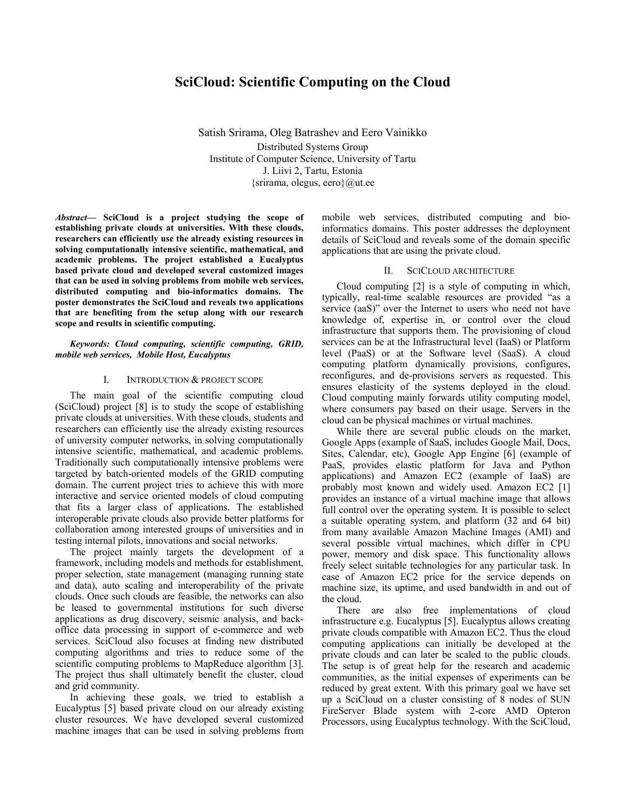# **SciCloud: Scientific Computing on the Cloud**

Satish Srirama, Oleg Batrashev and Eero Vainikko Distributed Systems Group Institute of Computer Science, University of Tartu J. Liivi 2, Tartu, Estonia  $\{s\}$ rirama, olegus, eero $\{a\}$ ut.ee

*Abstract***— SciCloud is a project studying the scope of establishing private clouds at universities. With these clouds, researchers can efficiently use the already existing resources in solving computationally intensive scientific, mathematical, and academic problems. The project established a Eucalyptus based private cloud and developed several customized images that can be used in solving problems from mobile web services, distributed computing and bio-informatics domains. The poster demonstrates the SciCloud and reveals two applications that are benefiting from the setup along with our research scope and results in scientific computing.** 

## *Keywords: Cloud computing, scientific computing, GRID, mobile web services, Mobile Host, Eucalyptus*

#### I. INTRODUCTION & PROJECT SCOPE

The main goal of the scientific computing cloud (SciCloud) project [8] is to study the scope of establishing private clouds at universities. With these clouds, students and researchers can efficiently use the already existing resources of university computer networks, in solving computationally intensive scientific, mathematical, and academic problems. Traditionally such computationally intensive problems were targeted by batch-oriented models of the GRID computing domain. The current project tries to achieve this with more interactive and service oriented models of cloud computing that fits a larger class of applications. The established interoperable private clouds also provide better platforms for collaboration among interested groups of universities and in testing internal pilots, innovations and social networks.

The project mainly targets the development of a framework, including models and methods for establishment, proper selection, state management (managing running state and data), auto scaling and interoperability of the private clouds. Once such clouds are feasible, the networks can also be leased to governmental institutions for such diverse applications as drug discovery, seismic analysis, and backoffice data processing in support of e-commerce and web services. SciCloud also focuses at finding new distributed computing algorithms and tries to reduce some of the scientific computing problems to MapReduce algorithm [3]. The project thus shall ultimately benefit the cluster, cloud and grid community.

In achieving these goals, we tried to establish a Eucalyptus [5] based private cloud on our already existing cluster resources. We have developed several customized machine images that can be used in solving problems from mobile web services, distributed computing and bioinformatics domains. This poster addresses the deployment details of SciCloud and reveals some of the domain specific applications that are using the private cloud.

# II. SCICLOUD ARCHITECTURE

Cloud computing [2] is a style of computing in which, typically, real-time scalable resources are provided "as a service (aaS)" over the Internet to users who need not have knowledge of, expertise in, or control over the cloud infrastructure that supports them. The provisioning of cloud services can be at the Infrastructural level (IaaS) or Platform level (PaaS) or at the Software level (SaaS). A cloud computing platform dynamically provisions, configures, reconfigures, and de-provisions servers as requested. This ensures elasticity of the systems deployed in the cloud. Cloud computing mainly forwards utility computing model, where consumers pay based on their usage. Servers in the cloud can be physical machines or virtual machines.

While there are several public clouds on the market, Google Apps (example of SaaS, includes Google Mail, Docs, Sites, Calendar, etc), Google App Engine [6] (example of PaaS, provides elastic platform for Java and Python applications) and Amazon EC2 (example of IaaS) are probably most known and widely used. Amazon EC2 [1] provides an instance of a virtual machine image that allows full control over the operating system. It is possible to select a suitable operating system, and platform (32 and 64 bit) from many available Amazon Machine Images (AMI) and several possible virtual machines, which differ in CPU power, memory and disk space. This functionality allows freely select suitable technologies for any particular task. In case of Amazon EC2 price for the service depends on machine size, its uptime, and used bandwidth in and out of the cloud.

There are also free implementations of cloud infrastructure e.g. Eucalyptus [5]. Eucalyptus allows creating private clouds compatible with Amazon EC2. Thus the cloud computing applications can initially be developed at the private clouds and can later be scaled to the public clouds. The setup is of great help for the research and academic communities, as the initial expenses of experiments can be reduced by great extent. With this primary goal we have set up a SciCloud on a cluster consisting of 8 nodes of SUN FireServer Blade system with 2-core AMD Opteron Processors, using Eucalyptus technology. With the SciCloud,